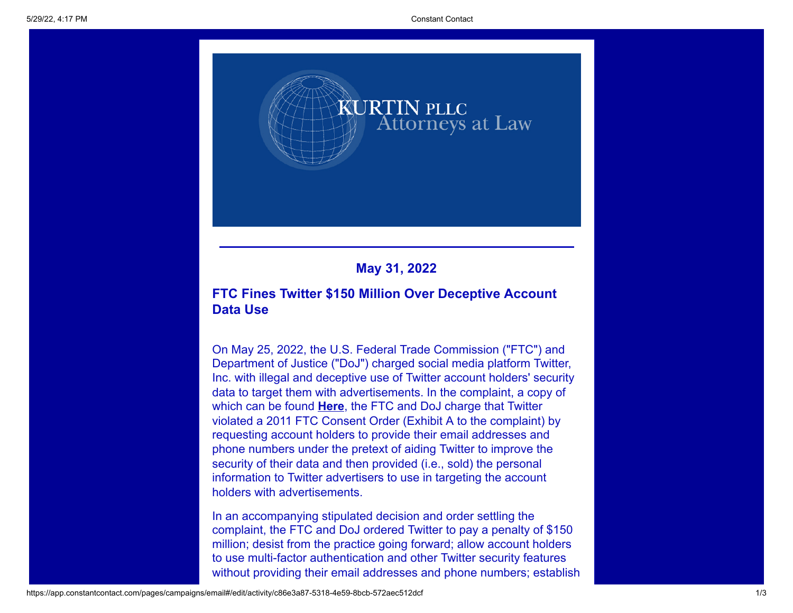

## **May 31, 2022**

## **FTC Fines Twitter \$150 Million Over Deceptive Account Data Use**

On May 25, 2022, the U.S. Federal Trade Commission ("FTC") and Department of Justice ("DoJ") charged social media platform Twitter, Inc. with illegal and deceptive use of Twitter account holders' security data to target them with advertisements. In the complaint, a copy of which can be found **[Here](https://www.ftc.gov/system/files/ftc_gov/pdf/2023062TwitterFiledComplaint.pdf)**, the FTC and DoJ charge that Twitter violated a 2011 FTC Consent Order (Exhibit A to the complaint) by requesting account holders to provide their email addresses and phone numbers under the pretext of aiding Twitter to improve the security of their data and then provided (i.e., sold) the personal information to Twitter advertisers to use in targeting the account holders with advertisements.

In an accompanying stipulated decision and order settling the complaint, the FTC and DoJ ordered Twitter to pay a penalty of \$150 million; desist from the practice going forward; allow account holders to use multi-factor authentication and other Twitter security features without providing their email addresses and phone numbers; establish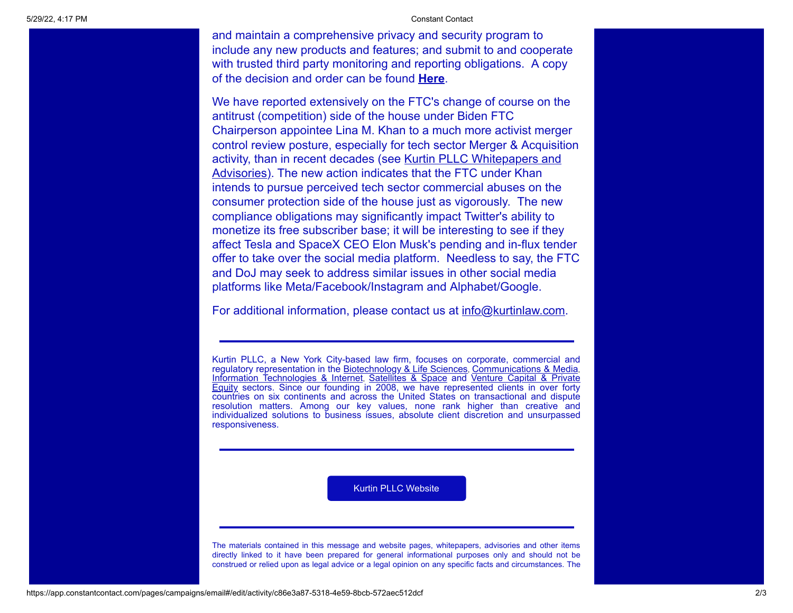5/29/22, 4:17 PM Constant Contact

and maintain a comprehensive privacy and security program to include any new products and features; and submit to and cooperate with trusted third party monitoring and reporting obligations. A copy of the decision and order can be found **[Here](https://www.ftc.gov/system/files/ftc_gov/pdf/2023062TwitterFiledMtnEntryOrder.pdf)**.

We have reported extensively on the FTC's change of course on the antitrust (competition) side of the house under Biden FTC Chairperson appointee Lina M. Khan to a much more activist merger control review posture, especially for tech sector Merger & Acquisition activity, than in recent decades (see Kurtin PLLC Whitepapers and Advisories). [The new action indicates that the FTC under Khan](https://kurtinlaw.com/articles-whitepapers/) intends to pursue perceived tech sector commercial abuses on the consumer protection side of the house just as vigorously. The new compliance obligations may significantly impact Twitter's ability to monetize its free subscriber base; it will be interesting to see if they affect Tesla and SpaceX CEO Elon Musk's pending and in-flux tender offer to take over the social media platform. Needless to say, the FTC and DoJ may seek to address similar issues in other social media platforms like Meta/Facebook/Instagram and Alphabet/Google.

For additional information, please contact us at [info@kurtinlaw.com](mailto:info@kurtinlaw.com).

Kurtin PLLC, a New York City-based law firm, focuses on corporate, commercial and regulatory representation in the [Biotechnology & Life Sciences](https://kurtinlaw.com/industry-focus/biotech-life-sciences/), [Communications & Media](https://kurtinlaw.com/industry-focus/communications-media/), [Information Technologies & Internet](https://kurtinlaw.com/industry-focus/information-technologies/), [Satellites & Space](https://kurtinlaw.com/industry-focus/satellites-space/) and Venture Capital & Private Equity [sectors. Since our founding in 2008, we have represented clients in over forty](https://kurtinlaw.com/practice-areas/financial-strategic-investments/) countries on six continents and across the United States on transactional and dispute resolution matters. Among our key values, none rank higher than creative and individualized solutions to business issues, absolute client discretion and unsurpassed responsiveness.

[Kurtin PLLC Website](https://kurtinlaw.com/)

The materials contained in this message and website pages, whitepapers, advisories and other items directly linked to it have been prepared for general informational purposes only and should not be construed or relied upon as legal advice or a legal opinion on any specific facts and circumstances. The